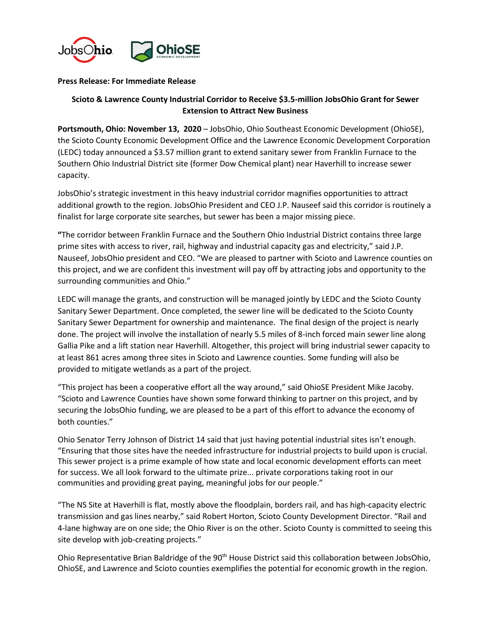

## **Press Release: For Immediate Release**

## **Scioto & Lawrence County Industrial Corridor to Receive \$3.5-million JobsOhio Grant for Sewer Extension to Attract New Business**

**Portsmouth, Ohio: November 13, 2020** – JobsOhio, Ohio Southeast Economic Development (OhioSE), the Scioto County Economic Development Office and the Lawrence Economic Development Corporation (LEDC) today announced a \$3.57 million grant to extend sanitary sewer from Franklin Furnace to the Southern Ohio Industrial District site (former Dow Chemical plant) near Haverhill to increase sewer capacity.

JobsOhio's strategic investment in this heavy industrial corridor magnifies opportunities to attract additional growth to the region. JobsOhio President and CEO J.P. Nauseef said this corridor is routinely a finalist for large corporate site searches, but sewer has been a major missing piece.

**"**The corridor between Franklin Furnace and the Southern Ohio Industrial District contains three large prime sites with access to river, rail, highway and industrial capacity gas and electricity," said J.P. Nauseef, JobsOhio president and CEO. "We are pleased to partner with Scioto and Lawrence counties on this project, and we are confident this investment will pay off by attracting jobs and opportunity to the surrounding communities and Ohio."

LEDC will manage the grants, and construction will be managed jointly by LEDC and the Scioto County Sanitary Sewer Department. Once completed, the sewer line will be dedicated to the Scioto County Sanitary Sewer Department for ownership and maintenance. The final design of the project is nearly done. The project will involve the installation of nearly 5.5 miles of 8-inch forced main sewer line along Gallia Pike and a lift station near Haverhill. Altogether, this project will bring industrial sewer capacity to at least 861 acres among three sites in Scioto and Lawrence counties. Some funding will also be provided to mitigate wetlands as a part of the project.

"This project has been a cooperative effort all the way around," said OhioSE President Mike Jacoby. "Scioto and Lawrence Counties have shown some forward thinking to partner on this project, and by securing the JobsOhio funding, we are pleased to be a part of this effort to advance the economy of both counties."

Ohio Senator Terry Johnson of District 14 said that just having potential industrial sites isn't enough. "Ensuring that those sites have the needed infrastructure for industrial projects to build upon is crucial. This sewer project is a prime example of how state and local economic development efforts can meet for success. We all look forward to the ultimate prize... private corporations taking root in our communities and providing great paying, meaningful jobs for our people."

"The NS Site at Haverhill is flat, mostly above the floodplain, borders rail, and has high-capacity electric transmission and gas lines nearby," said Robert Horton, Scioto County Development Director. "Rail and 4-lane highway are on one side; the Ohio River is on the other. Scioto County is committed to seeing this site develop with job-creating projects."

Ohio Representative Brian Baldridge of the 90<sup>th</sup> House District said this collaboration between JobsOhio, OhioSE, and Lawrence and Scioto counties exemplifies the potential for economic growth in the region.